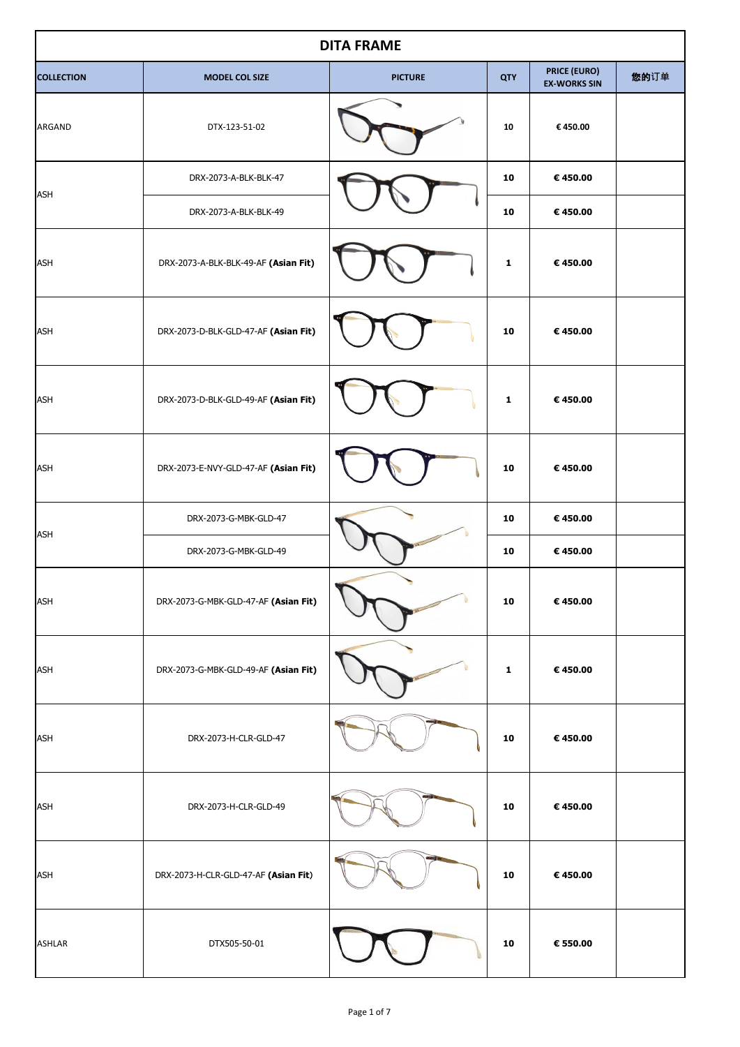| <b>DITA FRAME</b> |                                      |                |              |                                            |      |  |
|-------------------|--------------------------------------|----------------|--------------|--------------------------------------------|------|--|
| <b>COLLECTION</b> | <b>MODEL COL SIZE</b>                | <b>PICTURE</b> | <b>QTY</b>   | <b>PRICE (EURO)</b><br><b>EX-WORKS SIN</b> | 您的订单 |  |
| ARGAND            | DTX-123-51-02                        |                | 10           | €450.00                                    |      |  |
|                   | DRX-2073-A-BLK-BLK-47                |                | 10           | €450.00                                    |      |  |
| <b>ASH</b>        | DRX-2073-A-BLK-BLK-49                |                | 10           | €450.00                                    |      |  |
| <b>ASH</b>        | DRX-2073-A-BLK-BLK-49-AF (Asian Fit) |                | 1            | €450.00                                    |      |  |
| <b>ASH</b>        | DRX-2073-D-BLK-GLD-47-AF (Asian Fit) |                | 10           | €450.00                                    |      |  |
| <b>ASH</b>        | DRX-2073-D-BLK-GLD-49-AF (Asian Fit) |                | 1            | €450.00                                    |      |  |
| <b>ASH</b>        | DRX-2073-E-NVY-GLD-47-AF (Asian Fit) |                | 10           | €450.00                                    |      |  |
|                   | DRX-2073-G-MBK-GLD-47                |                | 10           | €450.00                                    |      |  |
| <b>ASH</b>        | DRX-2073-G-MBK-GLD-49                |                | 10           | €450.00                                    |      |  |
| <b>ASH</b>        | DRX-2073-G-MBK-GLD-47-AF (Asian Fit) |                | 10           | €450.00                                    |      |  |
| <b>ASH</b>        | DRX-2073-G-MBK-GLD-49-AF (Asian Fit) |                | $\mathbf{1}$ | €450.00                                    |      |  |
| <b>ASH</b>        | DRX-2073-H-CLR-GLD-47                |                | 10           | €450.00                                    |      |  |
| <b>ASH</b>        | DRX-2073-H-CLR-GLD-49                |                | 10           | € 450.00                                   |      |  |
| <b>ASH</b>        | DRX-2073-H-CLR-GLD-47-AF (Asian Fit) |                | 10           | € 450.00                                   |      |  |
| <b>ASHLAR</b>     | DTX505-50-01                         |                | 10           | € 550.00                                   |      |  |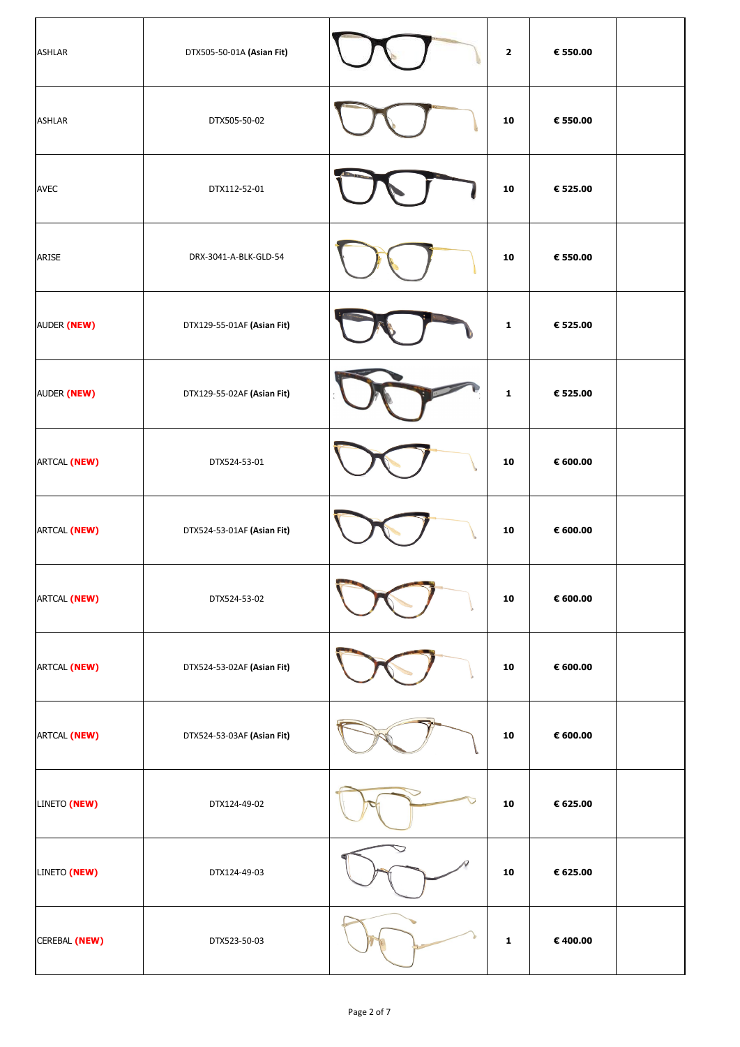| <b>ASHLAR</b> | DTX505-50-01A (Asian Fit)  |   | $\overline{\mathbf{2}}$ | € 550.00          |  |
|---------------|----------------------------|---|-------------------------|-------------------|--|
| <b>ASHLAR</b> | DTX505-50-02               |   | 10                      | € 550.00          |  |
| <b>AVEC</b>   | DTX112-52-01               |   | 10                      | € 525.00          |  |
| <b>ARISE</b>  | DRX-3041-A-BLK-GLD-54      |   | 10                      | € 550.00          |  |
| AUDER (NEW)   | DTX129-55-01AF (Asian Fit) |   | $\mathbf{1}$            | € 525.00          |  |
| AUDER (NEW)   | DTX129-55-02AF (Asian Fit) |   | $\mathbf 1$             | € 525.00          |  |
| ARTCAL (NEW)  | DTX524-53-01               |   | 10                      | € 600.00          |  |
| ARTCAL (NEW)  | DTX524-53-01AF (Asian Fit) |   | 10                      | $\epsilon$ 600.00 |  |
| ARTCAL (NEW)  | DTX524-53-02               |   | 10                      | € 600.00          |  |
| ARTCAL (NEW)  | DTX524-53-02AF (Asian Fit) |   | 10                      | $\epsilon$ 600.00 |  |
| ARTCAL (NEW)  | DTX524-53-03AF (Asian Fit) |   | 10                      | € 600.00          |  |
| LINETO (NEW)  | DTX124-49-02               |   | ${\bf 10}$              | € 625.00          |  |
| LINETO (NEW)  | DTX124-49-03               | R | 10                      | € 625.00          |  |
| CEREBAL (NEW) | DTX523-50-03               |   | $\mathbf 1$             | € 400.00          |  |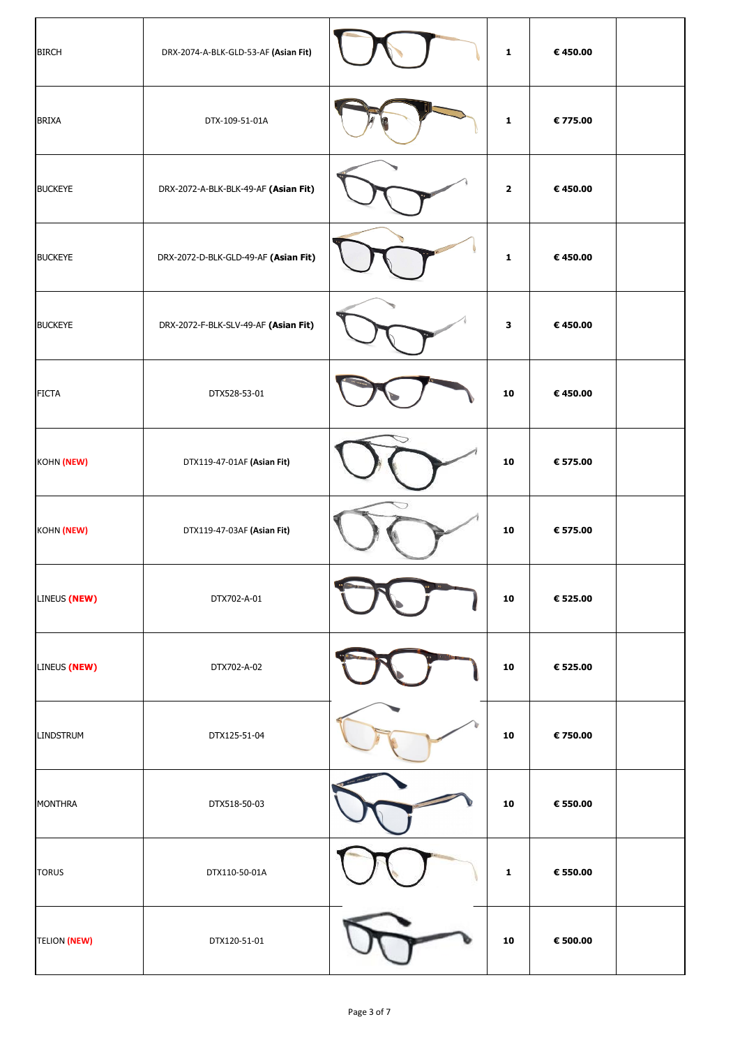| <b>BIRCH</b>        | DRX-2074-A-BLK-GLD-53-AF (Asian Fit) |             | $\mathbf{1}$ | € 450.00 |  |
|---------------------|--------------------------------------|-------------|--------------|----------|--|
| <b>BRIXA</b>        | DTX-109-51-01A                       |             | $\mathbf 1$  | € 775.00 |  |
| <b>BUCKEYE</b>      | DRX-2072-A-BLK-BLK-49-AF (Asian Fit) |             | $\mathbf{2}$ | €450.00  |  |
| <b>BUCKEYE</b>      | DRX-2072-D-BLK-GLD-49-AF (Asian Fit) |             | $\mathbf{1}$ | €450.00  |  |
| <b>BUCKEYE</b>      | DRX-2072-F-BLK-SLV-49-AF (Asian Fit) |             | 3            | € 450.00 |  |
| <b>FICTA</b>        | DTX528-53-01                         |             | 10           | €450.00  |  |
| KOHN (NEW)          | DTX119-47-01AF (Asian Fit)           |             | 10           | € 575.00 |  |
| KOHN (NEW)          | DTX119-47-03AF (Asian Fit)           |             | 10           | € 575.00 |  |
| LINEUS (NEW)        | DTX702-A-01                          |             | 10           | € 525.00 |  |
| LINEUS (NEW)        | DTX702-A-02                          |             | 10           | € 525.00 |  |
| <b>LINDSTRUM</b>    | DTX125-51-04                         |             | 10           | € 750.00 |  |
| <b>MONTHRA</b>      | DTX518-50-03                         | $\mathbf v$ | 10           | € 550.00 |  |
| <b>TORUS</b>        | DTX110-50-01A                        |             | $\mathbf 1$  | € 550.00 |  |
| <b>TELION (NEW)</b> | DTX120-51-01                         |             | 10           | € 500.00 |  |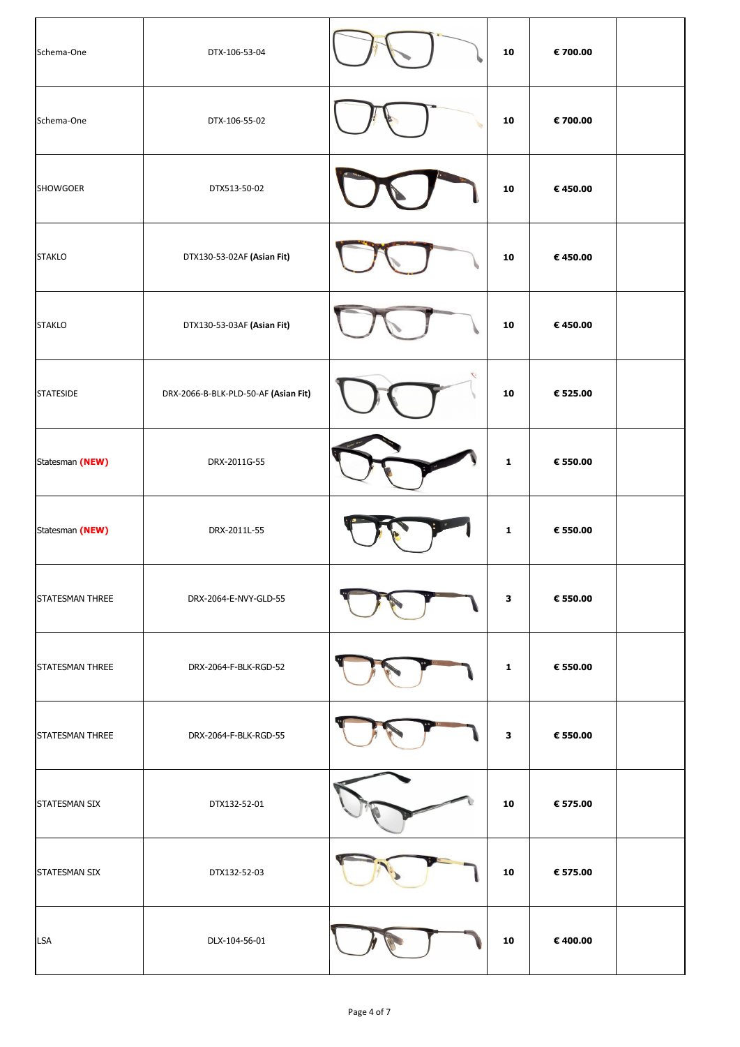| Schema-One       | DTX-106-53-04                        |    | 10           | € 700.00 |  |
|------------------|--------------------------------------|----|--------------|----------|--|
| Schema-One       | DTX-106-55-02                        |    | 10           | € 700.00 |  |
| <b>SHOWGOER</b>  | DTX513-50-02                         |    | 10           | €450.00  |  |
| <b>STAKLO</b>    | DTX130-53-02AF (Asian Fit)           |    | 10           | €450.00  |  |
| <b>STAKLO</b>    | DTX130-53-03AF (Asian Fit)           |    | 10           | €450.00  |  |
| <b>STATESIDE</b> | DRX-2066-B-BLK-PLD-50-AF (Asian Fit) | L. | 10           | € 525.00 |  |
| Statesman (NEW)  | DRX-2011G-55                         |    | $\mathbf{1}$ | € 550.00 |  |
| Statesman (NEW)  | DRX-2011L-55                         |    | $\mathbf{1}$ | € 550.00 |  |
| STATESMAN THREE  | DRX-2064-E-NVY-GLD-55                |    | $\mathbf{3}$ | € 550.00 |  |
| STATESMAN THREE  | DRX-2064-F-BLK-RGD-52                |    | $\mathbf{1}$ | € 550.00 |  |
| STATESMAN THREE  | DRX-2064-F-BLK-RGD-55                |    | $\mathbf{3}$ | € 550.00 |  |
| STATESMAN SIX    | DTX132-52-01                         |    | 10           | € 575.00 |  |
| STATESMAN SIX    | DTX132-52-03                         |    | 10           | € 575.00 |  |
| <b>LSA</b>       | DLX-104-56-01                        |    | 10           | € 400.00 |  |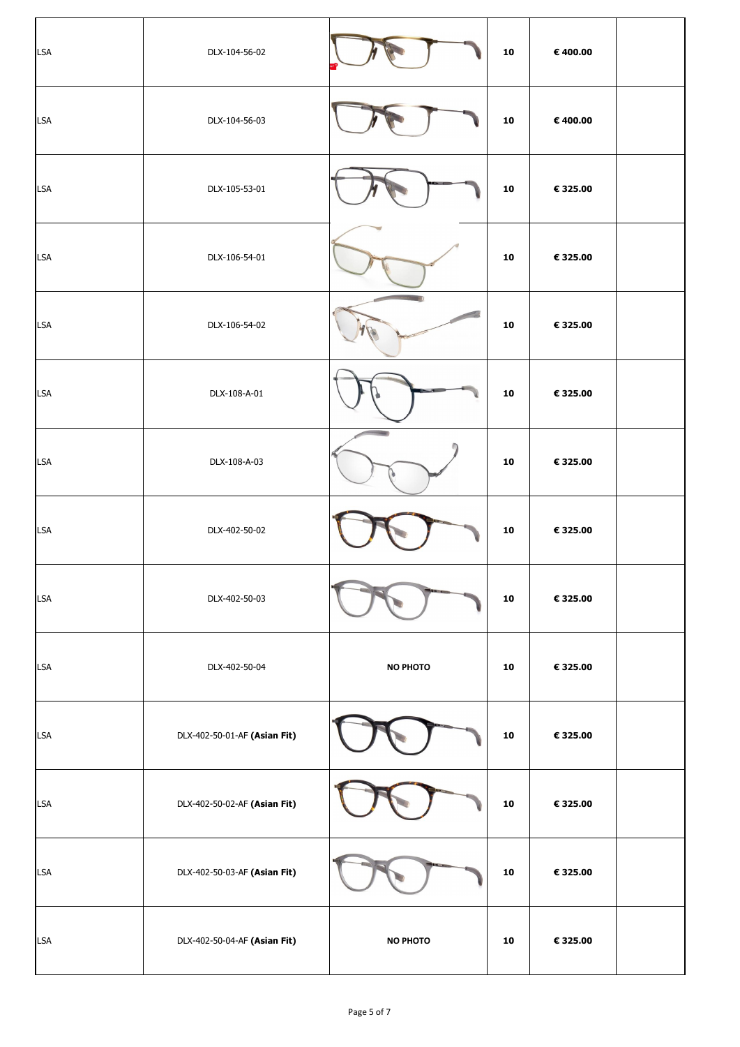| <b>LSA</b> | DLX-104-56-02                |                 | 10 | € 400.00 |  |
|------------|------------------------------|-----------------|----|----------|--|
| <b>LSA</b> | DLX-104-56-03                |                 | 10 | € 400.00 |  |
| <b>LSA</b> | DLX-105-53-01                |                 | 10 | € 325.00 |  |
| <b>LSA</b> | DLX-106-54-01                |                 | 10 | € 325.00 |  |
| <b>LSA</b> | DLX-106-54-02                |                 | 10 | € 325.00 |  |
| <b>LSA</b> | DLX-108-A-01                 |                 | 10 | € 325.00 |  |
| <b>LSA</b> | DLX-108-A-03                 |                 | 10 | € 325.00 |  |
| <b>LSA</b> | DLX-402-50-02                |                 | 10 | € 325.00 |  |
| <b>LSA</b> | DLX-402-50-03                |                 | 10 | € 325.00 |  |
| <b>LSA</b> | DLX-402-50-04                | <b>NO PHOTO</b> | 10 | € 325.00 |  |
| <b>LSA</b> | DLX-402-50-01-AF (Asian Fit) |                 | 10 | € 325.00 |  |
| <b>LSA</b> | DLX-402-50-02-AF (Asian Fit) |                 | 10 | € 325.00 |  |
| <b>LSA</b> | DLX-402-50-03-AF (Asian Fit) |                 | 10 | € 325.00 |  |
| <b>LSA</b> | DLX-402-50-04-AF (Asian Fit) | <b>NO PHOTO</b> | 10 | € 325.00 |  |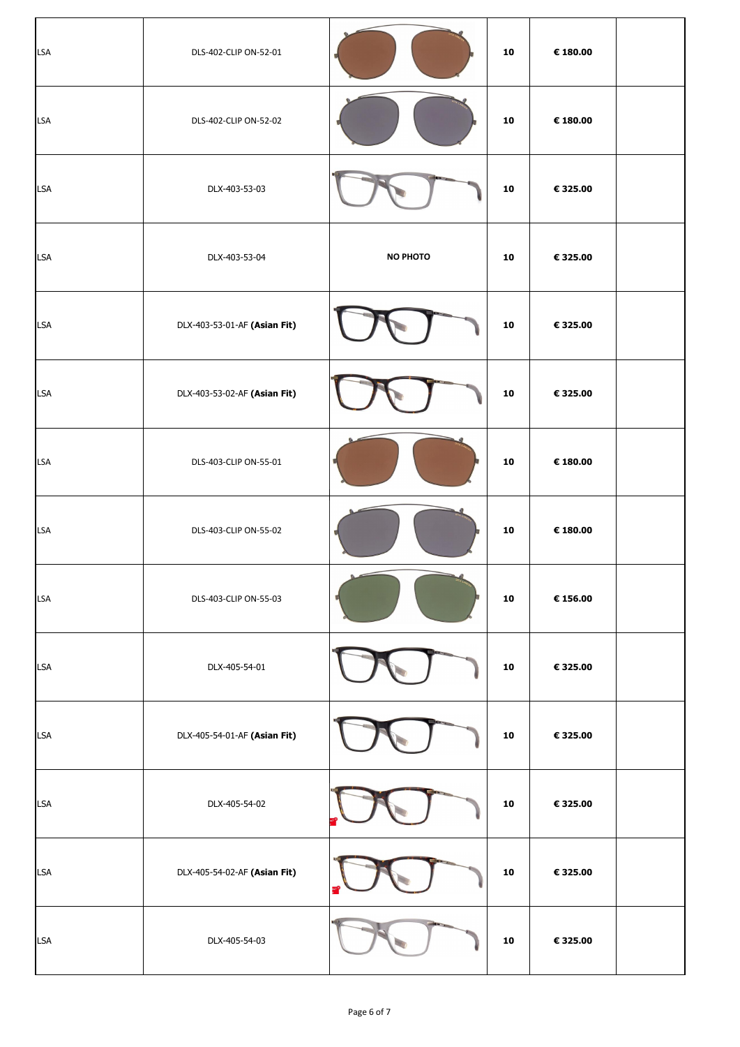| <b>LSA</b> | DLS-402-CLIP ON-52-01        |                 | 10 | € 180.00 |  |
|------------|------------------------------|-----------------|----|----------|--|
| <b>LSA</b> | DLS-402-CLIP ON-52-02        |                 | 10 | € 180.00 |  |
| <b>LSA</b> | DLX-403-53-03                |                 | 10 | € 325.00 |  |
| <b>LSA</b> | DLX-403-53-04                | <b>NO PHOTO</b> | 10 | € 325.00 |  |
| <b>LSA</b> | DLX-403-53-01-AF (Asian Fit) |                 | 10 | € 325.00 |  |
| <b>LSA</b> | DLX-403-53-02-AF (Asian Fit) |                 | 10 | € 325.00 |  |
| <b>LSA</b> | DLS-403-CLIP ON-55-01        |                 | 10 | € 180.00 |  |
| <b>LSA</b> | DLS-403-CLIP ON-55-02        |                 | 10 | € 180.00 |  |
| <b>LSA</b> | DLS-403-CLIP ON-55-03        |                 | 10 | € 156.00 |  |
| <b>LSA</b> | DLX-405-54-01                |                 | 10 | € 325.00 |  |
| <b>LSA</b> | DLX-405-54-01-AF (Asian Fit) |                 | 10 | € 325.00 |  |
| <b>LSA</b> | DLX-405-54-02                |                 | 10 | € 325.00 |  |
| <b>LSA</b> | DLX-405-54-02-AF (Asian Fit) | ns?<br>e        | 10 | € 325.00 |  |
| <b>LSA</b> | DLX-405-54-03                |                 | 10 | € 325.00 |  |